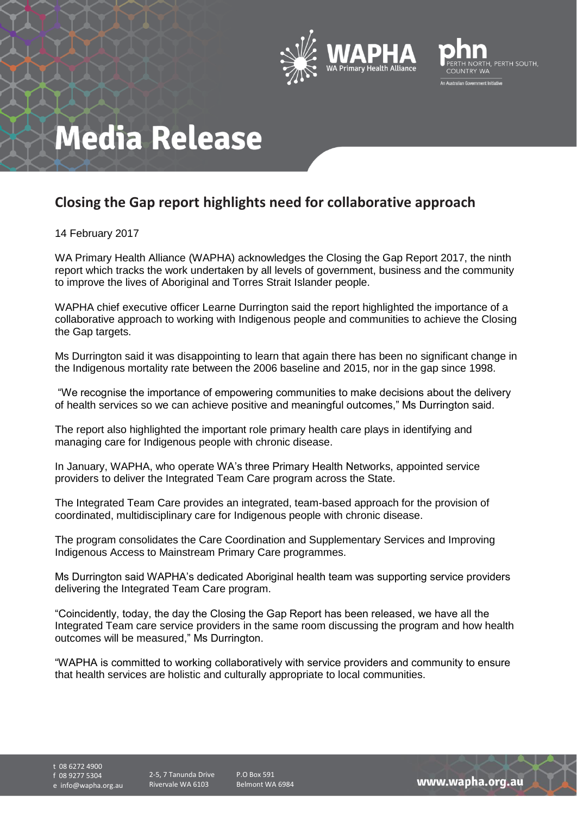



## **Media Release**

## **Closing the Gap report highlights need for collaborative approach**

14 February 2017

WA Primary Health Alliance (WAPHA) acknowledges the Closing the Gap Report 2017, the ninth report which tracks the work undertaken by all levels of government, business and the community to improve the lives of Aboriginal and Torres Strait Islander people.

WAPHA chief executive officer Learne Durrington said the report highlighted the importance of a collaborative approach to working with Indigenous people and communities to achieve the Closing the Gap targets.

Ms Durrington said it was disappointing to learn that again there has been no significant change in the Indigenous mortality rate between the 2006 baseline and 2015, nor in the gap since 1998.

"We recognise the importance of empowering communities to make decisions about the delivery of health services so we can achieve positive and meaningful outcomes," Ms Durrington said.

The report also highlighted the important role primary health care plays in identifying and managing care for Indigenous people with chronic disease.

In January, WAPHA, who operate WA's three Primary Health Networks, appointed service providers to deliver the Integrated Team Care program across the State.

The Integrated Team Care provides an integrated, team-based approach for the provision of coordinated, multidisciplinary care for Indigenous people with chronic disease.

The program consolidates the Care Coordination and Supplementary Services and Improving Indigenous Access to Mainstream Primary Care programmes.

Ms Durrington said WAPHA's dedicated Aboriginal health team was supporting service providers delivering the Integrated Team Care program.

"Coincidently, today, the day the Closing the Gap Report has been released, we have all the Integrated Team care service providers in the same room discussing the program and how health outcomes will be measured," Ms Durrington.

"WAPHA is committed to working collaboratively with service providers and community to ensure that health services are holistic and culturally appropriate to local communities.

t 08 6272 4900

f 08 9277 5304

e info@wapha.org.au

P.O Box 591 Belmont WA 6984

www.wapha.org.au